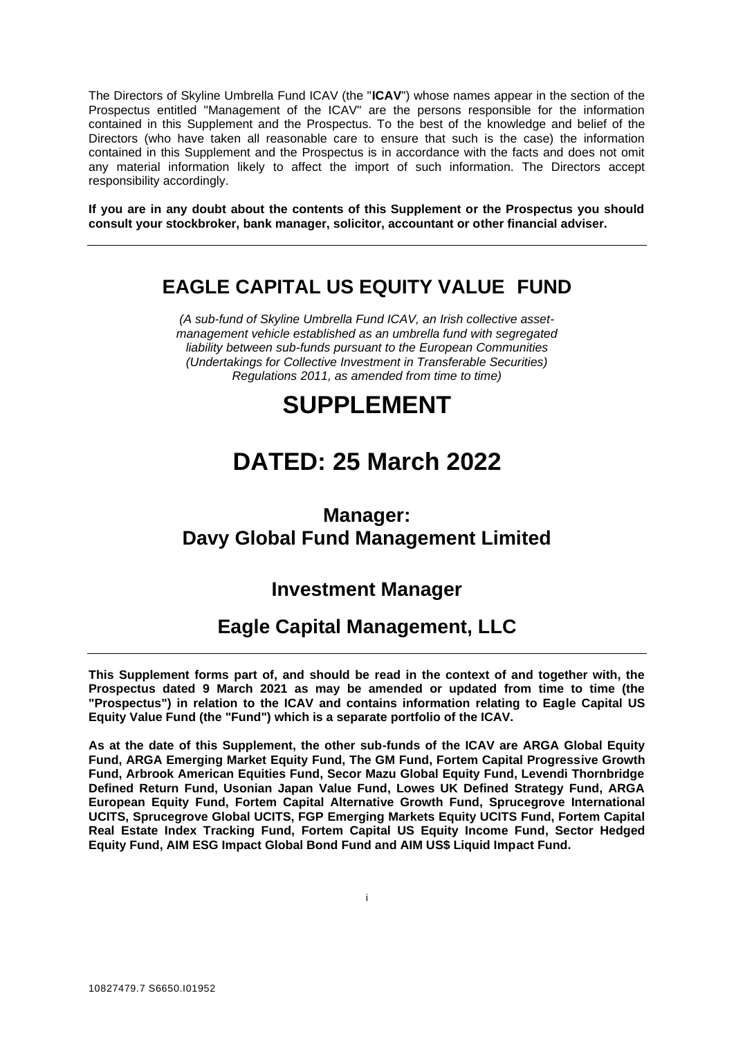The Directors of Skyline Umbrella Fund ICAV (the "**ICAV**") whose names appear in the section of the Prospectus entitled "Management of the ICAV" are the persons responsible for the information contained in this Supplement and the Prospectus. To the best of the knowledge and belief of the Directors (who have taken all reasonable care to ensure that such is the case) the information contained in this Supplement and the Prospectus is in accordance with the facts and does not omit any material information likely to affect the import of such information. The Directors accept responsibility accordingly.

**If you are in any doubt about the contents of this Supplement or the Prospectus you should consult your stockbroker, bank manager, solicitor, accountant or other financial adviser.**

# **EAGLE CAPITAL US EQUITY VALUE FUND**

*(A sub-fund of Skyline Umbrella Fund ICAV, an Irish collective assetmanagement vehicle established as an umbrella fund with segregated liability between sub-funds pursuant to the European Communities (Undertakings for Collective Investment in Transferable Securities) Regulations 2011, as amended from time to time)*

# **SUPPLEMENT**

# **DATED: 25 March 2022**

# **Manager: Davy Global Fund Management Limited**

# **Investment Manager**

# **Eagle Capital Management, LLC**

**This Supplement forms part of, and should be read in the context of and together with, the Prospectus dated 9 March 2021 as may be amended or updated from time to time (the "Prospectus") in relation to the ICAV and contains information relating to Eagle Capital US Equity Value Fund (the "Fund") which is a separate portfolio of the ICAV.** 

**As at the date of this Supplement, the other sub-funds of the ICAV are ARGA Global Equity Fund, ARGA Emerging Market Equity Fund, The GM Fund, Fortem Capital Progressive Growth Fund, Arbrook American Equities Fund, Secor Mazu Global Equity Fund, Levendi Thornbridge Defined Return Fund, Usonian Japan Value Fund, Lowes UK Defined Strategy Fund, ARGA European Equity Fund, Fortem Capital Alternative Growth Fund, Sprucegrove International UCITS, Sprucegrove Global UCITS, FGP Emerging Markets Equity UCITS Fund, Fortem Capital Real Estate Index Tracking Fund, Fortem Capital US Equity Income Fund, Sector Hedged Equity Fund, AIM ESG Impact Global Bond Fund and AIM US\$ Liquid Impact Fund.**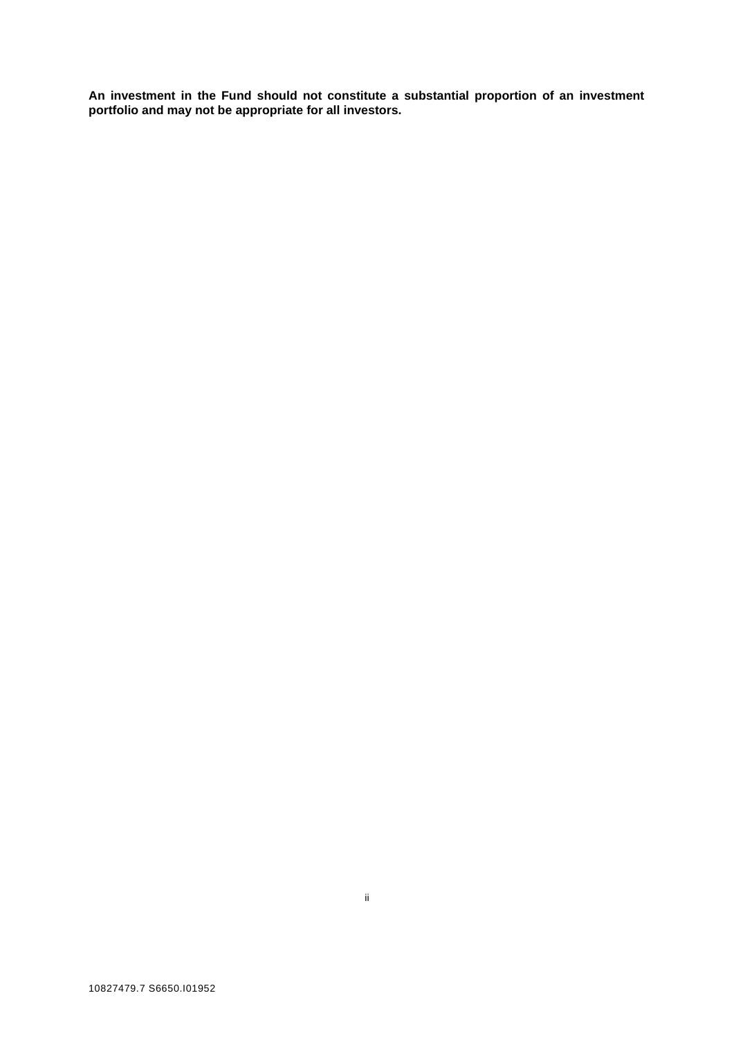**An investment in the Fund should not constitute a substantial proportion of an investment portfolio and may not be appropriate for all investors.**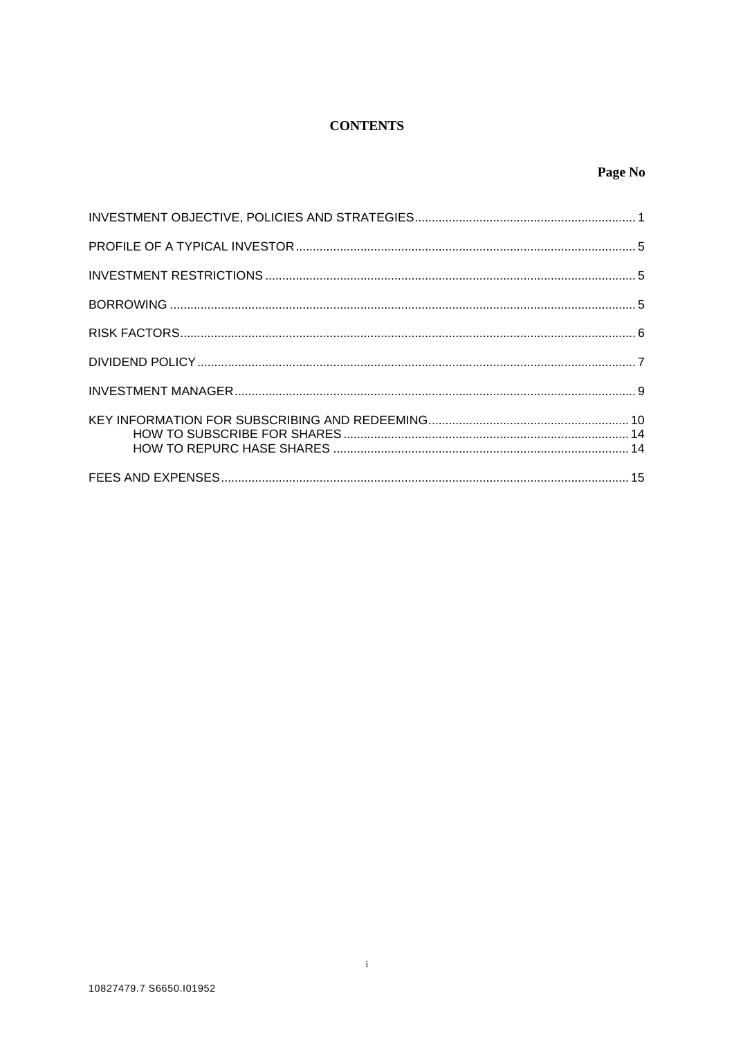# **CONTENTS**

# Page No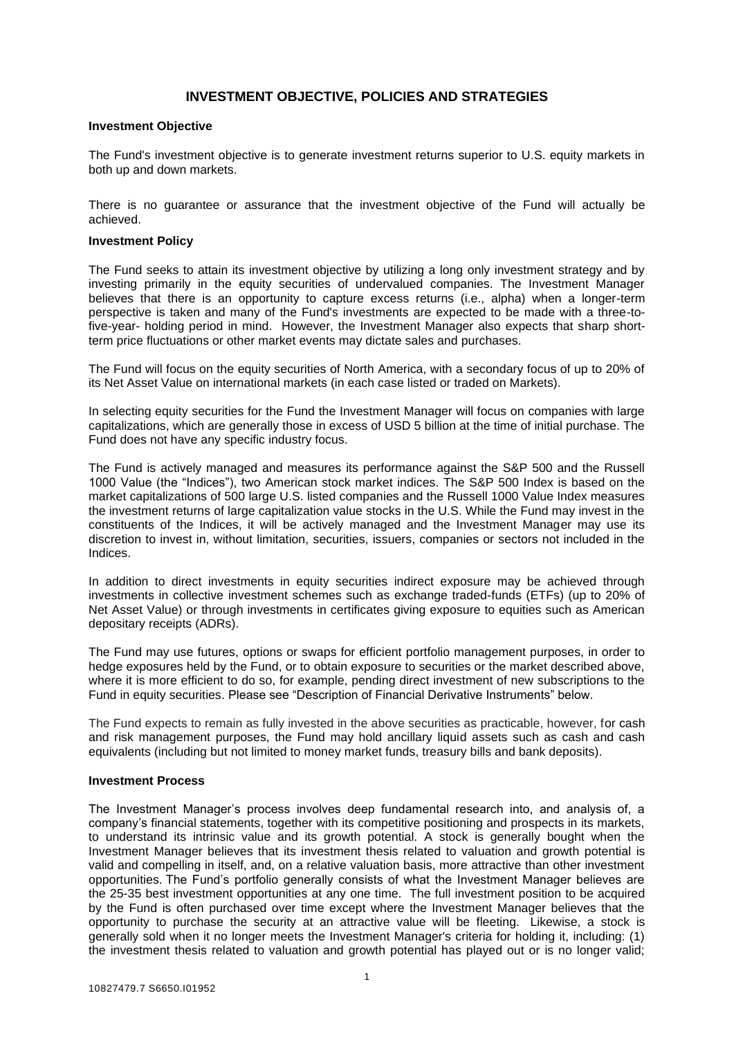## **INVESTMENT OBJECTIVE, POLICIES AND STRATEGIES**

#### **Investment Objective**

The Fund's investment objective is to generate investment returns superior to U.S. equity markets in both up and down markets.

There is no guarantee or assurance that the investment objective of the Fund will actually be achieved.

#### **Investment Policy**

The Fund seeks to attain its investment objective by utilizing a long only investment strategy and by investing primarily in the equity securities of undervalued companies. The Investment Manager believes that there is an opportunity to capture excess returns (i.e., alpha) when a longer-term perspective is taken and many of the Fund's investments are expected to be made with a three-tofive-year- holding period in mind. However, the Investment Manager also expects that sharp shortterm price fluctuations or other market events may dictate sales and purchases.

The Fund will focus on the equity securities of North America, with a secondary focus of up to 20% of its Net Asset Value on international markets (in each case listed or traded on Markets).

In selecting equity securities for the Fund the Investment Manager will focus on companies with large capitalizations, which are generally those in excess of USD 5 billion at the time of initial purchase. The Fund does not have any specific industry focus.

The Fund is actively managed and measures its performance against the S&P 500 and the Russell 1000 Value (the "Indices"), two American stock market indices. The S&P 500 Index is based on the market capitalizations of 500 large U.S. listed companies and the Russell 1000 Value Index measures the investment returns of large capitalization value stocks in the U.S. While the Fund may invest in the constituents of the Indices, it will be actively managed and the Investment Manager may use its discretion to invest in, without limitation, securities, issuers, companies or sectors not included in the Indices.

In addition to direct investments in equity securities indirect exposure may be achieved through investments in collective investment schemes such as exchange traded-funds (ETFs) (up to 20% of Net Asset Value) or through investments in certificates giving exposure to equities such as American depositary receipts (ADRs).

The Fund may use futures, options or swaps for efficient portfolio management purposes, in order to hedge exposures held by the Fund, or to obtain exposure to securities or the market described above, where it is more efficient to do so, for example, pending direct investment of new subscriptions to the Fund in equity securities. Please see "Description of Financial Derivative Instruments" below.

The Fund expects to remain as fully invested in the above securities as practicable, however, for cash and risk management purposes, the Fund may hold ancillary liquid assets such as cash and cash equivalents (including but not limited to money market funds, treasury bills and bank deposits).

#### **Investment Process**

The Investment Manager's process involves deep fundamental research into, and analysis of, a company's financial statements, together with its competitive positioning and prospects in its markets, to understand its intrinsic value and its growth potential. A stock is generally bought when the Investment Manager believes that its investment thesis related to valuation and growth potential is valid and compelling in itself, and, on a relative valuation basis, more attractive than other investment opportunities. The Fund's portfolio generally consists of what the Investment Manager believes are the 25-35 best investment opportunities at any one time. The full investment position to be acquired by the Fund is often purchased over time except where the Investment Manager believes that the opportunity to purchase the security at an attractive value will be fleeting. Likewise, a stock is generally sold when it no longer meets the Investment Manager's criteria for holding it, including: (1) the investment thesis related to valuation and growth potential has played out or is no longer valid;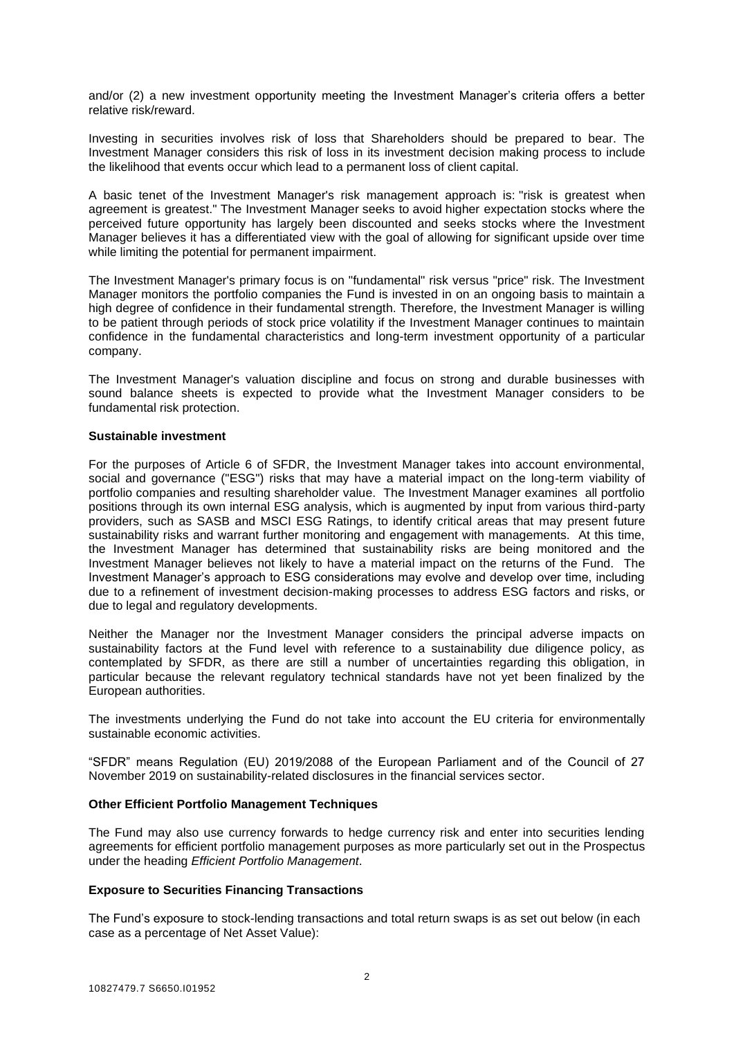and/or (2) a new investment opportunity meeting the Investment Manager's criteria offers a better relative risk/reward.

Investing in securities involves risk of loss that Shareholders should be prepared to bear. The Investment Manager considers this risk of loss in its investment decision making process to include the likelihood that events occur which lead to a permanent loss of client capital.

A basic tenet of the Investment Manager's risk management approach is: "risk is greatest when agreement is greatest." The Investment Manager seeks to avoid higher expectation stocks where the perceived future opportunity has largely been discounted and seeks stocks where the Investment Manager believes it has a differentiated view with the goal of allowing for significant upside over time while limiting the potential for permanent impairment.

The Investment Manager's primary focus is on "fundamental" risk versus "price" risk. The Investment Manager monitors the portfolio companies the Fund is invested in on an ongoing basis to maintain a high degree of confidence in their fundamental strength. Therefore, the Investment Manager is willing to be patient through periods of stock price volatility if the Investment Manager continues to maintain confidence in the fundamental characteristics and long-term investment opportunity of a particular company.

The Investment Manager's valuation discipline and focus on strong and durable businesses with sound balance sheets is expected to provide what the Investment Manager considers to be fundamental risk protection.

#### **Sustainable investment**

For the purposes of Article 6 of SFDR, the Investment Manager takes into account environmental, social and governance ("ESG") risks that may have a material impact on the long-term viability of portfolio companies and resulting shareholder value. The Investment Manager examines all portfolio positions through its own internal ESG analysis, which is augmented by input from various third-party providers, such as SASB and MSCI ESG Ratings, to identify critical areas that may present future sustainability risks and warrant further monitoring and engagement with managements. At this time, the Investment Manager has determined that sustainability risks are being monitored and the Investment Manager believes not likely to have a material impact on the returns of the Fund. The Investment Manager's approach to ESG considerations may evolve and develop over time, including due to a refinement of investment decision-making processes to address ESG factors and risks, or due to legal and regulatory developments.

Neither the Manager nor the Investment Manager considers the principal adverse impacts on sustainability factors at the Fund level with reference to a sustainability due diligence policy, as contemplated by SFDR, as there are still a number of uncertainties regarding this obligation, in particular because the relevant regulatory technical standards have not yet been finalized by the European authorities.

The investments underlying the Fund do not take into account the EU criteria for environmentally sustainable economic activities.

"SFDR" means Regulation (EU) 2019/2088 of the European Parliament and of the Council of 27 November 2019 on sustainability-related disclosures in the financial services sector.

#### **Other Efficient Portfolio Management Techniques**

The Fund may also use currency forwards to hedge currency risk and enter into securities lending agreements for efficient portfolio management purposes as more particularly set out in the Prospectus under the heading *Efficient Portfolio Management*.

## **Exposure to Securities Financing Transactions**

The Fund's exposure to stock-lending transactions and total return swaps is as set out below (in each case as a percentage of Net Asset Value):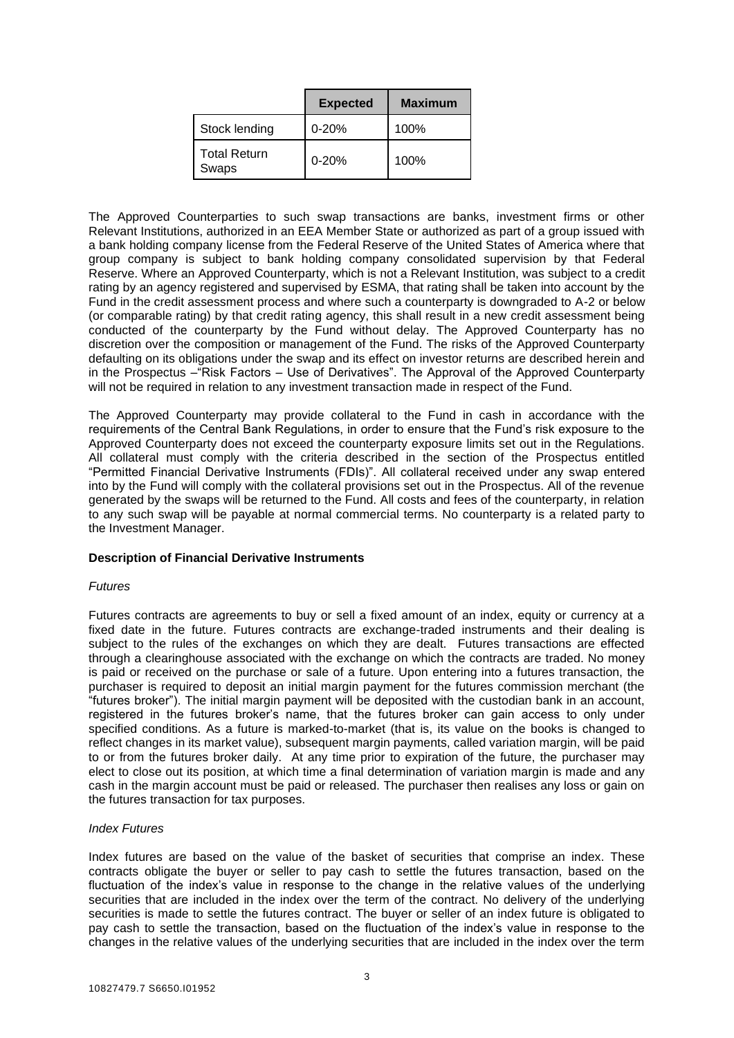|                              | <b>Expected</b> | <b>Maximum</b> |
|------------------------------|-----------------|----------------|
| Stock lending                | $0 - 20%$       | 100%           |
| <b>Total Return</b><br>Swaps | $0 - 20%$       | 100%           |

The Approved Counterparties to such swap transactions are banks, investment firms or other Relevant Institutions, authorized in an EEA Member State or authorized as part of a group issued with a bank holding company license from the Federal Reserve of the United States of America where that group company is subject to bank holding company consolidated supervision by that Federal Reserve. Where an Approved Counterparty, which is not a Relevant Institution, was subject to a credit rating by an agency registered and supervised by ESMA, that rating shall be taken into account by the Fund in the credit assessment process and where such a counterparty is downgraded to A-2 or below (or comparable rating) by that credit rating agency, this shall result in a new credit assessment being conducted of the counterparty by the Fund without delay. The Approved Counterparty has no discretion over the composition or management of the Fund. The risks of the Approved Counterparty defaulting on its obligations under the swap and its effect on investor returns are described herein and in the Prospectus –"Risk Factors – Use of Derivatives". The Approval of the Approved Counterparty will not be required in relation to any investment transaction made in respect of the Fund.

The Approved Counterparty may provide collateral to the Fund in cash in accordance with the requirements of the Central Bank Regulations, in order to ensure that the Fund's risk exposure to the Approved Counterparty does not exceed the counterparty exposure limits set out in the Regulations. All collateral must comply with the criteria described in the section of the Prospectus entitled "Permitted Financial Derivative Instruments (FDIs)". All collateral received under any swap entered into by the Fund will comply with the collateral provisions set out in the Prospectus. All of the revenue generated by the swaps will be returned to the Fund. All costs and fees of the counterparty, in relation to any such swap will be payable at normal commercial terms. No counterparty is a related party to the Investment Manager.

#### **Description of Financial Derivative Instruments**

#### *Futures*

Futures contracts are agreements to buy or sell a fixed amount of an index, equity or currency at a fixed date in the future. Futures contracts are exchange-traded instruments and their dealing is subject to the rules of the exchanges on which they are dealt. Futures transactions are effected through a clearinghouse associated with the exchange on which the contracts are traded. No money is paid or received on the purchase or sale of a future. Upon entering into a futures transaction, the purchaser is required to deposit an initial margin payment for the futures commission merchant (the "futures broker"). The initial margin payment will be deposited with the custodian bank in an account, registered in the futures broker's name, that the futures broker can gain access to only under specified conditions. As a future is marked-to-market (that is, its value on the books is changed to reflect changes in its market value), subsequent margin payments, called variation margin, will be paid to or from the futures broker daily. At any time prior to expiration of the future, the purchaser may elect to close out its position, at which time a final determination of variation margin is made and any cash in the margin account must be paid or released. The purchaser then realises any loss or gain on the futures transaction for tax purposes.

#### *Index Futures*

Index futures are based on the value of the basket of securities that comprise an index. These contracts obligate the buyer or seller to pay cash to settle the futures transaction, based on the fluctuation of the index's value in response to the change in the relative values of the underlying securities that are included in the index over the term of the contract. No delivery of the underlying securities is made to settle the futures contract. The buyer or seller of an index future is obligated to pay cash to settle the transaction, based on the fluctuation of the index's value in response to the changes in the relative values of the underlying securities that are included in the index over the term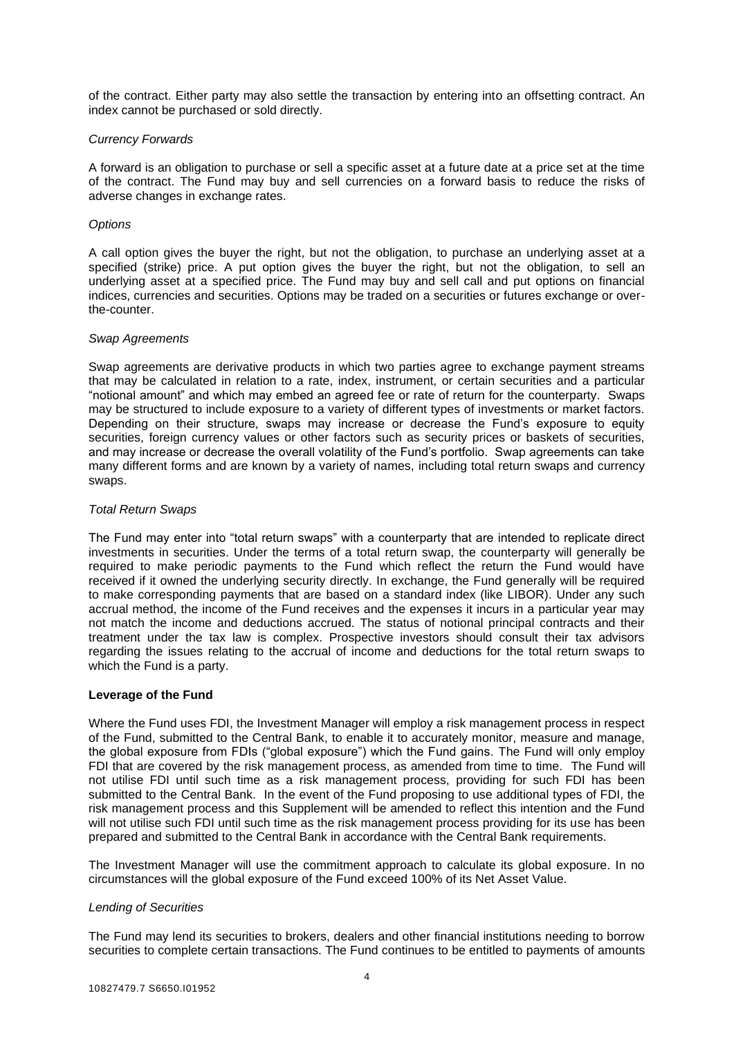of the contract. Either party may also settle the transaction by entering into an offsetting contract. An index cannot be purchased or sold directly.

#### *Currency Forwards*

A forward is an obligation to purchase or sell a specific asset at a future date at a price set at the time of the contract. The Fund may buy and sell currencies on a forward basis to reduce the risks of adverse changes in exchange rates.

#### *Options*

A call option gives the buyer the right, but not the obligation, to purchase an underlying asset at a specified (strike) price. A put option gives the buyer the right, but not the obligation, to sell an underlying asset at a specified price. The Fund may buy and sell call and put options on financial indices, currencies and securities. Options may be traded on a securities or futures exchange or overthe-counter.

#### *Swap Agreements*

Swap agreements are derivative products in which two parties agree to exchange payment streams that may be calculated in relation to a rate, index, instrument, or certain securities and a particular "notional amount" and which may embed an agreed fee or rate of return for the counterparty. Swaps may be structured to include exposure to a variety of different types of investments or market factors. Depending on their structure, swaps may increase or decrease the Fund's exposure to equity securities, foreign currency values or other factors such as security prices or baskets of securities, and may increase or decrease the overall volatility of the Fund's portfolio. Swap agreements can take many different forms and are known by a variety of names, including total return swaps and currency swaps.

#### *Total Return Swaps*

The Fund may enter into "total return swaps" with a counterparty that are intended to replicate direct investments in securities. Under the terms of a total return swap, the counterparty will generally be required to make periodic payments to the Fund which reflect the return the Fund would have received if it owned the underlying security directly. In exchange, the Fund generally will be required to make corresponding payments that are based on a standard index (like LIBOR). Under any such accrual method, the income of the Fund receives and the expenses it incurs in a particular year may not match the income and deductions accrued. The status of notional principal contracts and their treatment under the tax law is complex. Prospective investors should consult their tax advisors regarding the issues relating to the accrual of income and deductions for the total return swaps to which the Fund is a party.

#### **Leverage of the Fund**

Where the Fund uses FDI, the Investment Manager will employ a risk management process in respect of the Fund, submitted to the Central Bank, to enable it to accurately monitor, measure and manage, the global exposure from FDIs ("global exposure") which the Fund gains. The Fund will only employ FDI that are covered by the risk management process, as amended from time to time. The Fund will not utilise FDI until such time as a risk management process, providing for such FDI has been submitted to the Central Bank. In the event of the Fund proposing to use additional types of FDI, the risk management process and this Supplement will be amended to reflect this intention and the Fund will not utilise such FDI until such time as the risk management process providing for its use has been prepared and submitted to the Central Bank in accordance with the Central Bank requirements.

The Investment Manager will use the commitment approach to calculate its global exposure. In no circumstances will the global exposure of the Fund exceed 100% of its Net Asset Value.

#### *Lending of Securities*

The Fund may lend its securities to brokers, dealers and other financial institutions needing to borrow securities to complete certain transactions. The Fund continues to be entitled to payments of amounts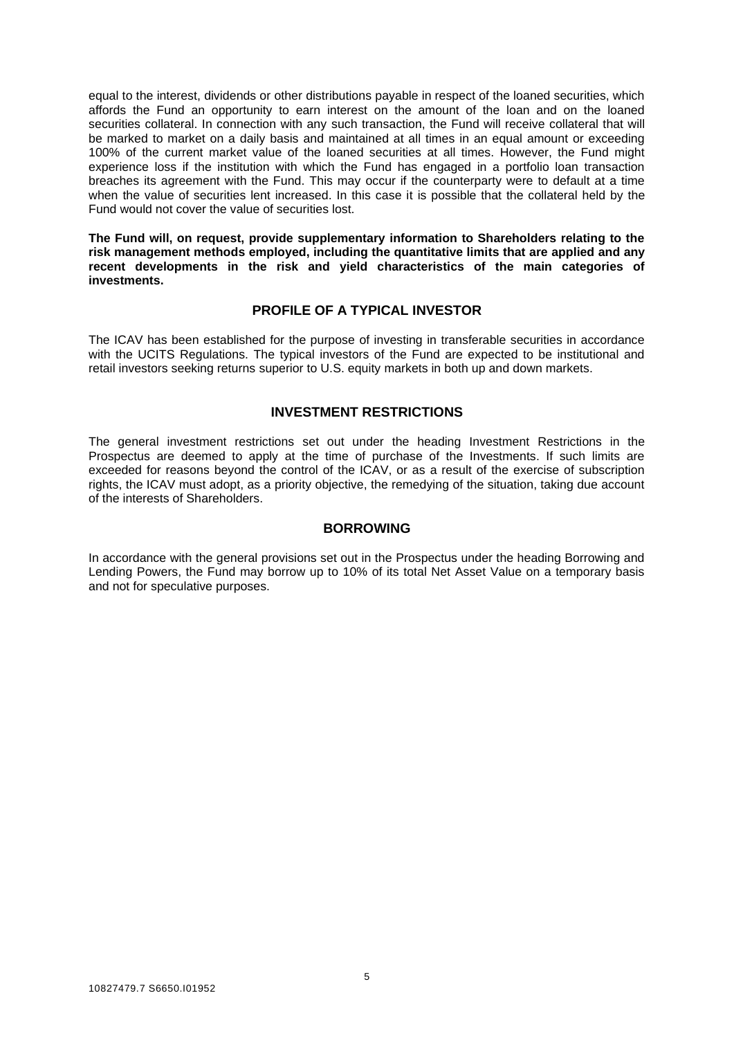equal to the interest, dividends or other distributions payable in respect of the loaned securities, which affords the Fund an opportunity to earn interest on the amount of the loan and on the loaned securities collateral. In connection with any such transaction, the Fund will receive collateral that will be marked to market on a daily basis and maintained at all times in an equal amount or exceeding 100% of the current market value of the loaned securities at all times. However, the Fund might experience loss if the institution with which the Fund has engaged in a portfolio loan transaction breaches its agreement with the Fund. This may occur if the counterparty were to default at a time when the value of securities lent increased. In this case it is possible that the collateral held by the Fund would not cover the value of securities lost.

**The Fund will, on request, provide supplementary information to Shareholders relating to the risk management methods employed, including the quantitative limits that are applied and any recent developments in the risk and yield characteristics of the main categories of investments.** 

# **PROFILE OF A TYPICAL INVESTOR**

The ICAV has been established for the purpose of investing in transferable securities in accordance with the UCITS Regulations. The typical investors of the Fund are expected to be institutional and retail investors seeking returns superior to U.S. equity markets in both up and down markets.

## **INVESTMENT RESTRICTIONS**

The general investment restrictions set out under the heading Investment Restrictions in the Prospectus are deemed to apply at the time of purchase of the Investments. If such limits are exceeded for reasons beyond the control of the ICAV, or as a result of the exercise of subscription rights, the ICAV must adopt, as a priority objective, the remedying of the situation, taking due account of the interests of Shareholders.

# **BORROWING**

In accordance with the general provisions set out in the Prospectus under the heading Borrowing and Lending Powers, the Fund may borrow up to 10% of its total Net Asset Value on a temporary basis and not for speculative purposes.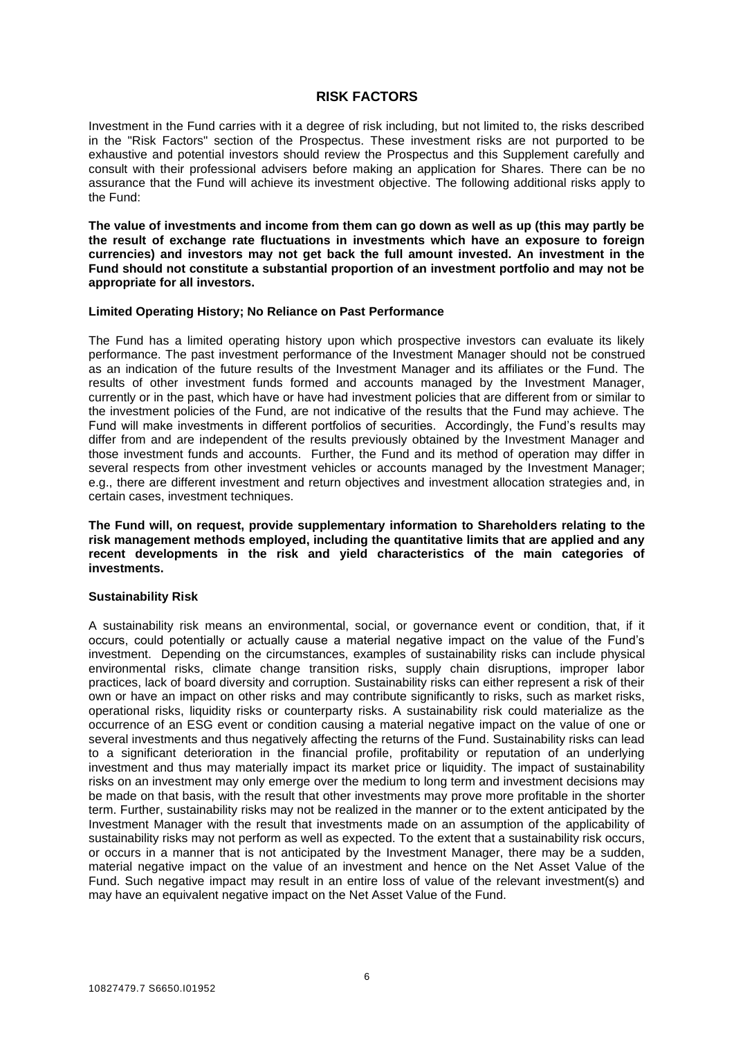#### **RISK FACTORS**

Investment in the Fund carries with it a degree of risk including, but not limited to, the risks described in the "Risk Factors" section of the Prospectus. These investment risks are not purported to be exhaustive and potential investors should review the Prospectus and this Supplement carefully and consult with their professional advisers before making an application for Shares. There can be no assurance that the Fund will achieve its investment objective. The following additional risks apply to the Fund:

**The value of investments and income from them can go down as well as up (this may partly be the result of exchange rate fluctuations in investments which have an exposure to foreign currencies) and investors may not get back the full amount invested. An investment in the Fund should not constitute a substantial proportion of an investment portfolio and may not be appropriate for all investors.** 

#### **Limited Operating History; No Reliance on Past Performance**

The Fund has a limited operating history upon which prospective investors can evaluate its likely performance. The past investment performance of the Investment Manager should not be construed as an indication of the future results of the Investment Manager and its affiliates or the Fund. The results of other investment funds formed and accounts managed by the Investment Manager, currently or in the past, which have or have had investment policies that are different from or similar to the investment policies of the Fund, are not indicative of the results that the Fund may achieve. The Fund will make investments in different portfolios of securities. Accordingly, the Fund's results may differ from and are independent of the results previously obtained by the Investment Manager and those investment funds and accounts. Further, the Fund and its method of operation may differ in several respects from other investment vehicles or accounts managed by the Investment Manager; e.g., there are different investment and return objectives and investment allocation strategies and, in certain cases, investment techniques.

**The Fund will, on request, provide supplementary information to Shareholders relating to the risk management methods employed, including the quantitative limits that are applied and any recent developments in the risk and yield characteristics of the main categories of investments.**

#### **Sustainability Risk**

A sustainability risk means an environmental, social, or governance event or condition, that, if it occurs, could potentially or actually cause a material negative impact on the value of the Fund's investment. Depending on the circumstances, examples of sustainability risks can include physical environmental risks, climate change transition risks, supply chain disruptions, improper labor practices, lack of board diversity and corruption. Sustainability risks can either represent a risk of their own or have an impact on other risks and may contribute significantly to risks, such as market risks, operational risks, liquidity risks or counterparty risks. A sustainability risk could materialize as the occurrence of an ESG event or condition causing a material negative impact on the value of one or several investments and thus negatively affecting the returns of the Fund. Sustainability risks can lead to a significant deterioration in the financial profile, profitability or reputation of an underlying investment and thus may materially impact its market price or liquidity. The impact of sustainability risks on an investment may only emerge over the medium to long term and investment decisions may be made on that basis, with the result that other investments may prove more profitable in the shorter term. Further, sustainability risks may not be realized in the manner or to the extent anticipated by the Investment Manager with the result that investments made on an assumption of the applicability of sustainability risks may not perform as well as expected. To the extent that a sustainability risk occurs, or occurs in a manner that is not anticipated by the Investment Manager, there may be a sudden, material negative impact on the value of an investment and hence on the Net Asset Value of the Fund. Such negative impact may result in an entire loss of value of the relevant investment(s) and may have an equivalent negative impact on the Net Asset Value of the Fund.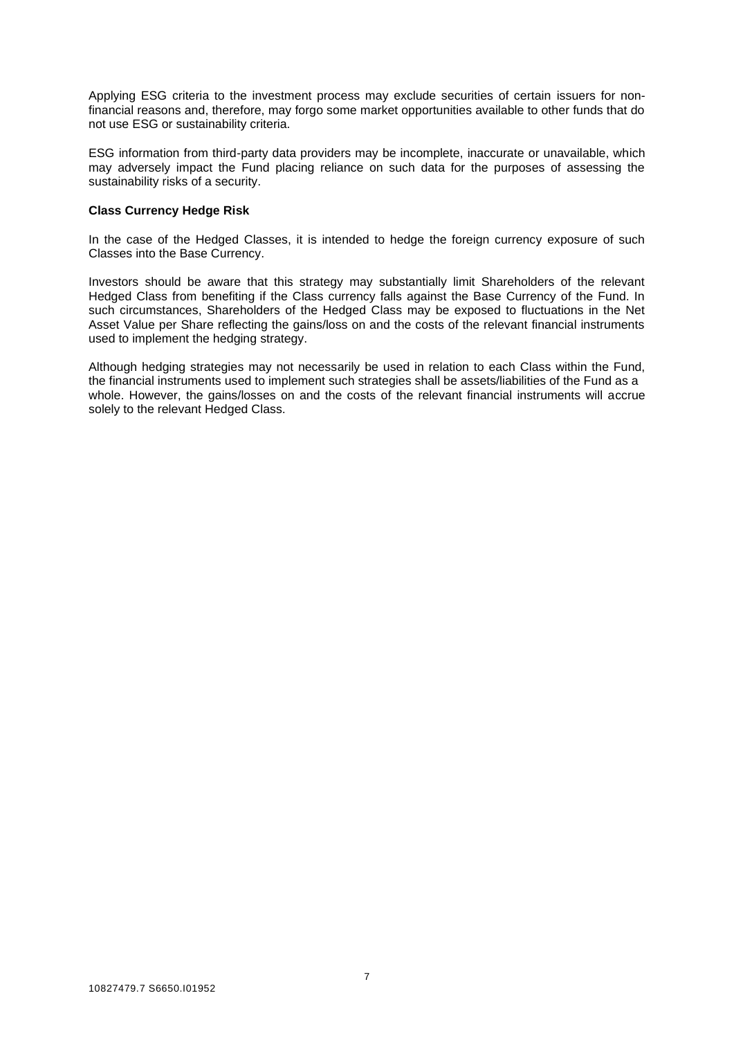Applying ESG criteria to the investment process may exclude securities of certain issuers for nonfinancial reasons and, therefore, may forgo some market opportunities available to other funds that do not use ESG or sustainability criteria.

ESG information from third-party data providers may be incomplete, inaccurate or unavailable, which may adversely impact the Fund placing reliance on such data for the purposes of assessing the sustainability risks of a security.

#### **Class Currency Hedge Risk**

In the case of the Hedged Classes, it is intended to hedge the foreign currency exposure of such Classes into the Base Currency.

Investors should be aware that this strategy may substantially limit Shareholders of the relevant Hedged Class from benefiting if the Class currency falls against the Base Currency of the Fund. In such circumstances, Shareholders of the Hedged Class may be exposed to fluctuations in the Net Asset Value per Share reflecting the gains/loss on and the costs of the relevant financial instruments used to implement the hedging strategy.

Although hedging strategies may not necessarily be used in relation to each Class within the Fund, the financial instruments used to implement such strategies shall be assets/liabilities of the Fund as a whole. However, the gains/losses on and the costs of the relevant financial instruments will accrue solely to the relevant Hedged Class.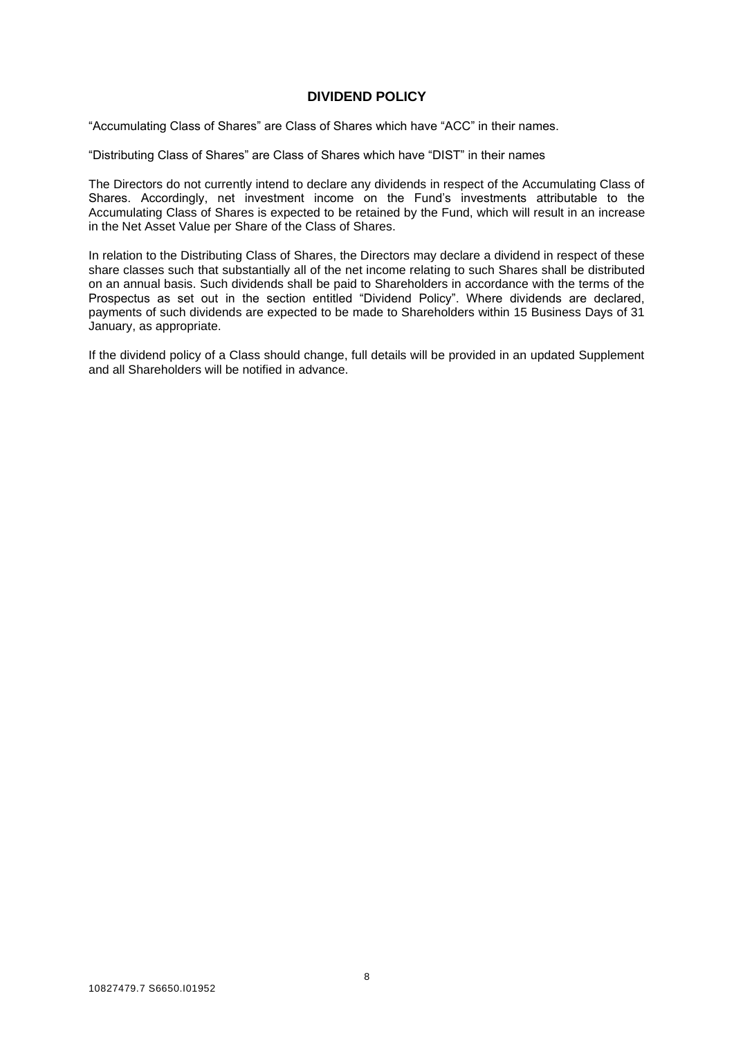#### **DIVIDEND POLICY**

"Accumulating Class of Shares" are Class of Shares which have "ACC" in their names.

"Distributing Class of Shares" are Class of Shares which have "DIST" in their names

The Directors do not currently intend to declare any dividends in respect of the Accumulating Class of Shares. Accordingly, net investment income on the Fund's investments attributable to the Accumulating Class of Shares is expected to be retained by the Fund, which will result in an increase in the Net Asset Value per Share of the Class of Shares.

In relation to the Distributing Class of Shares, the Directors may declare a dividend in respect of these share classes such that substantially all of the net income relating to such Shares shall be distributed on an annual basis. Such dividends shall be paid to Shareholders in accordance with the terms of the Prospectus as set out in the section entitled "Dividend Policy". Where dividends are declared, payments of such dividends are expected to be made to Shareholders within 15 Business Days of 31 January, as appropriate.

If the dividend policy of a Class should change, full details will be provided in an updated Supplement and all Shareholders will be notified in advance.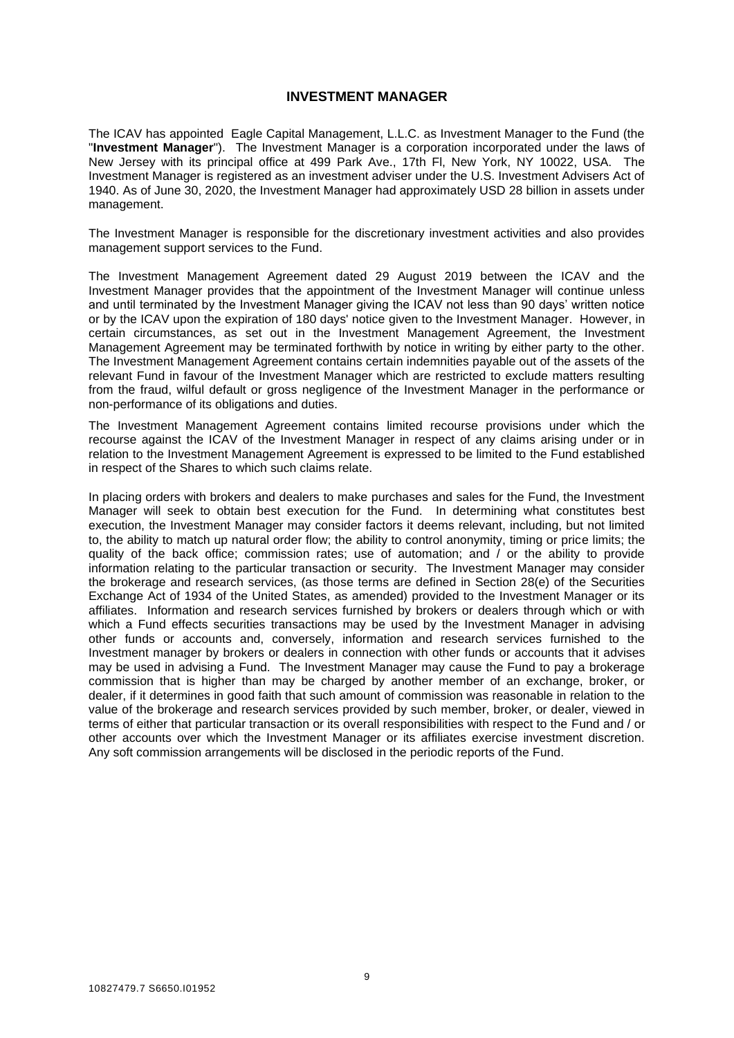#### **INVESTMENT MANAGER**

The ICAV has appointed Eagle Capital Management, L.L.C. as Investment Manager to the Fund (the "**Investment Manager**"). The Investment Manager is a corporation incorporated under the laws of New Jersey with its principal office at 499 Park Ave., 17th Fl, New York, NY 10022, USA. The Investment Manager is registered as an investment adviser under the U.S. Investment Advisers Act of 1940. As of June 30, 2020, the Investment Manager had approximately USD 28 billion in assets under management.

The Investment Manager is responsible for the discretionary investment activities and also provides management support services to the Fund.

The Investment Management Agreement dated 29 August 2019 between the ICAV and the Investment Manager provides that the appointment of the Investment Manager will continue unless and until terminated by the Investment Manager giving the ICAV not less than 90 days' written notice or by the ICAV upon the expiration of 180 days' notice given to the Investment Manager. However, in certain circumstances, as set out in the Investment Management Agreement, the Investment Management Agreement may be terminated forthwith by notice in writing by either party to the other. The Investment Management Agreement contains certain indemnities payable out of the assets of the relevant Fund in favour of the Investment Manager which are restricted to exclude matters resulting from the fraud, wilful default or gross negligence of the Investment Manager in the performance or non-performance of its obligations and duties.

The Investment Management Agreement contains limited recourse provisions under which the recourse against the ICAV of the Investment Manager in respect of any claims arising under or in relation to the Investment Management Agreement is expressed to be limited to the Fund established in respect of the Shares to which such claims relate.

In placing orders with brokers and dealers to make purchases and sales for the Fund, the Investment Manager will seek to obtain best execution for the Fund. In determining what constitutes best execution, the Investment Manager may consider factors it deems relevant, including, but not limited to, the ability to match up natural order flow; the ability to control anonymity, timing or price limits; the quality of the back office; commission rates; use of automation; and / or the ability to provide information relating to the particular transaction or security. The Investment Manager may consider the brokerage and research services, (as those terms are defined in Section 28(e) of the Securities Exchange Act of 1934 of the United States, as amended) provided to the Investment Manager or its affiliates. Information and research services furnished by brokers or dealers through which or with which a Fund effects securities transactions may be used by the Investment Manager in advising other funds or accounts and, conversely, information and research services furnished to the Investment manager by brokers or dealers in connection with other funds or accounts that it advises may be used in advising a Fund. The Investment Manager may cause the Fund to pay a brokerage commission that is higher than may be charged by another member of an exchange, broker, or dealer, if it determines in good faith that such amount of commission was reasonable in relation to the value of the brokerage and research services provided by such member, broker, or dealer, viewed in terms of either that particular transaction or its overall responsibilities with respect to the Fund and / or other accounts over which the Investment Manager or its affiliates exercise investment discretion. Any soft commission arrangements will be disclosed in the periodic reports of the Fund.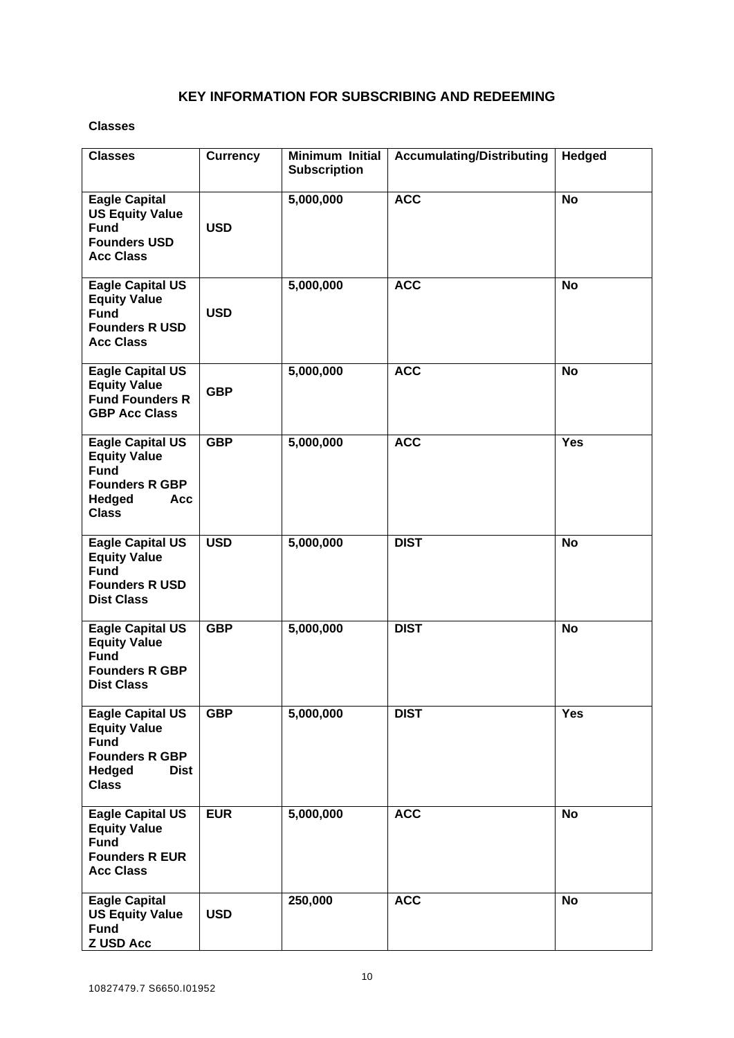# **KEY INFORMATION FOR SUBSCRIBING AND REDEEMING**

## **Classes**

| <b>Classes</b>                                                                                                                         | <b>Currency</b> | <b>Minimum Initial</b><br><b>Subscription</b> | <b>Accumulating/Distributing</b> | Hedged    |
|----------------------------------------------------------------------------------------------------------------------------------------|-----------------|-----------------------------------------------|----------------------------------|-----------|
| <b>Eagle Capital</b><br><b>US Equity Value</b><br><b>Fund</b><br><b>Founders USD</b><br><b>Acc Class</b>                               | <b>USD</b>      | 5,000,000                                     | <b>ACC</b>                       | <b>No</b> |
| <b>Eagle Capital US</b><br><b>Equity Value</b><br><b>Fund</b><br><b>Founders R USD</b><br><b>Acc Class</b>                             | <b>USD</b>      | 5,000,000                                     | <b>ACC</b>                       | <b>No</b> |
| <b>Eagle Capital US</b><br><b>Equity Value</b><br><b>Fund Founders R</b><br><b>GBP Acc Class</b>                                       | <b>GBP</b>      | 5,000,000                                     | <b>ACC</b>                       | <b>No</b> |
| <b>Eagle Capital US</b><br><b>Equity Value</b><br><b>Fund</b><br><b>Founders R GBP</b><br>Hedged<br><b>Acc</b><br><b>Class</b>         | <b>GBP</b>      | 5,000,000                                     | <b>ACC</b>                       | Yes       |
| <b>Eagle Capital US</b><br><b>Equity Value</b><br><b>Fund</b><br><b>Founders R USD</b><br><b>Dist Class</b>                            | <b>USD</b>      | 5,000,000                                     | <b>DIST</b>                      | <b>No</b> |
| <b>Eagle Capital US</b><br><b>Equity Value</b><br><b>Fund</b><br><b>Founders R GBP</b><br><b>Dist Class</b>                            | <b>GBP</b>      | 5,000,000                                     | <b>DIST</b>                      | <b>No</b> |
| <b>Eagle Capital US</b><br><b>Equity Value</b><br><b>Fund</b><br><b>Founders R GBP</b><br><b>Hedged</b><br><b>Dist</b><br><b>Class</b> | <b>GBP</b>      | 5,000,000                                     | <b>DIST</b>                      | Yes       |
| <b>Eagle Capital US</b><br><b>Equity Value</b><br><b>Fund</b><br><b>Founders R EUR</b><br><b>Acc Class</b>                             | <b>EUR</b>      | 5,000,000                                     | <b>ACC</b>                       | <b>No</b> |
| <b>Eagle Capital</b><br><b>US Equity Value</b><br><b>Fund</b><br><b>Z USD Acc</b>                                                      | <b>USD</b>      | 250,000                                       | <b>ACC</b>                       | <b>No</b> |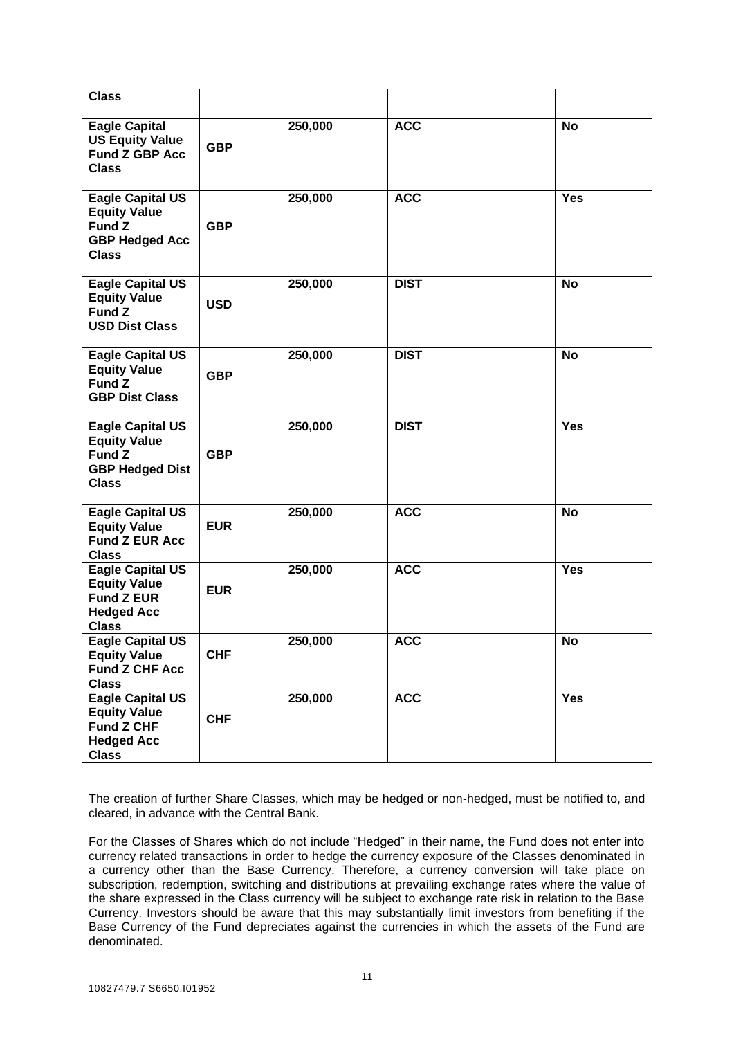| <b>Class</b>                                                                                             |            |         |             |            |
|----------------------------------------------------------------------------------------------------------|------------|---------|-------------|------------|
| <b>Eagle Capital</b><br><b>US Equity Value</b><br><b>Fund Z GBP Acc</b><br><b>Class</b>                  | <b>GBP</b> | 250,000 | <b>ACC</b>  | <b>No</b>  |
| <b>Eagle Capital US</b><br><b>Equity Value</b><br>Fund Z<br><b>GBP Hedged Acc</b><br><b>Class</b>        | <b>GBP</b> | 250,000 | <b>ACC</b>  | <b>Yes</b> |
| <b>Eagle Capital US</b><br><b>Equity Value</b><br>Fund Z<br><b>USD Dist Class</b>                        | <b>USD</b> | 250,000 | <b>DIST</b> | <b>No</b>  |
| <b>Eagle Capital US</b><br><b>Equity Value</b><br>Fund Z<br><b>GBP Dist Class</b>                        | <b>GBP</b> | 250,000 | <b>DIST</b> | <b>No</b>  |
| Eagle Capital US<br><b>Equity Value</b><br><b>Fund Z</b><br><b>GBP Hedged Dist</b><br><b>Class</b>       | <b>GBP</b> | 250,000 | <b>DIST</b> | <b>Yes</b> |
| <b>Eagle Capital US</b><br><b>Equity Value</b><br><b>Fund Z EUR Acc</b><br><b>Class</b>                  | <b>EUR</b> | 250,000 | <b>ACC</b>  | <b>No</b>  |
| <b>Eagle Capital US</b><br><b>Equity Value</b><br><b>Fund Z EUR</b><br><b>Hedged Acc</b><br><b>Class</b> | <b>EUR</b> | 250,000 | <b>ACC</b>  | <b>Yes</b> |
| <b>Eagle Capital US</b><br><b>Equity Value</b><br><b>Fund Z CHF Acc</b><br><b>Class</b>                  | <b>CHF</b> | 250,000 | <b>ACC</b>  | <b>No</b>  |
| <b>Eagle Capital US</b><br><b>Equity Value</b><br><b>Fund Z CHF</b><br><b>Hedged Acc</b><br><b>Class</b> | <b>CHF</b> | 250,000 | <b>ACC</b>  | Yes        |

The creation of further Share Classes, which may be hedged or non-hedged, must be notified to, and cleared, in advance with the Central Bank.

For the Classes of Shares which do not include "Hedged" in their name, the Fund does not enter into currency related transactions in order to hedge the currency exposure of the Classes denominated in a currency other than the Base Currency. Therefore, a currency conversion will take place on subscription, redemption, switching and distributions at prevailing exchange rates where the value of the share expressed in the Class currency will be subject to exchange rate risk in relation to the Base Currency. Investors should be aware that this may substantially limit investors from benefiting if the Base Currency of the Fund depreciates against the currencies in which the assets of the Fund are denominated.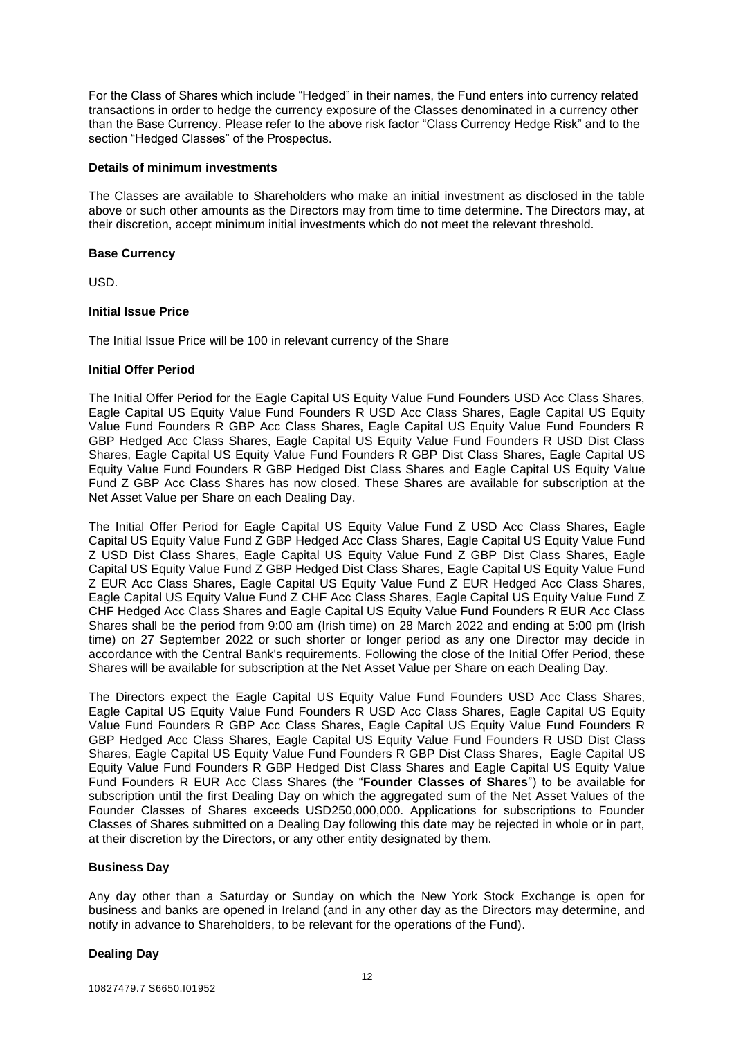For the Class of Shares which include "Hedged" in their names, the Fund enters into currency related transactions in order to hedge the currency exposure of the Classes denominated in a currency other than the Base Currency. Please refer to the above risk factor "Class Currency Hedge Risk" and to the section "Hedged Classes" of the Prospectus.

#### **Details of minimum investments**

The Classes are available to Shareholders who make an initial investment as disclosed in the table above or such other amounts as the Directors may from time to time determine. The Directors may, at their discretion, accept minimum initial investments which do not meet the relevant threshold.

#### **Base Currency**

USD.

#### **Initial Issue Price**

The Initial Issue Price will be 100 in relevant currency of the Share

#### **Initial Offer Period**

The Initial Offer Period for the Eagle Capital US Equity Value Fund Founders USD Acc Class Shares, Eagle Capital US Equity Value Fund Founders R USD Acc Class Shares, Eagle Capital US Equity Value Fund Founders R GBP Acc Class Shares, Eagle Capital US Equity Value Fund Founders R GBP Hedged Acc Class Shares, Eagle Capital US Equity Value Fund Founders R USD Dist Class Shares, Eagle Capital US Equity Value Fund Founders R GBP Dist Class Shares, Eagle Capital US Equity Value Fund Founders R GBP Hedged Dist Class Shares and Eagle Capital US Equity Value Fund Z GBP Acc Class Shares has now closed. These Shares are available for subscription at the Net Asset Value per Share on each Dealing Day.

The Initial Offer Period for Eagle Capital US Equity Value Fund Z USD Acc Class Shares, Eagle Capital US Equity Value Fund Z GBP Hedged Acc Class Shares, Eagle Capital US Equity Value Fund Z USD Dist Class Shares, Eagle Capital US Equity Value Fund Z GBP Dist Class Shares, Eagle Capital US Equity Value Fund Z GBP Hedged Dist Class Shares, Eagle Capital US Equity Value Fund Z EUR Acc Class Shares, Eagle Capital US Equity Value Fund Z EUR Hedged Acc Class Shares, Eagle Capital US Equity Value Fund Z CHF Acc Class Shares, Eagle Capital US Equity Value Fund Z CHF Hedged Acc Class Shares and Eagle Capital US Equity Value Fund Founders R EUR Acc Class Shares shall be the period from 9:00 am (Irish time) on 28 March 2022 and ending at 5:00 pm (Irish time) on 27 September 2022 or such shorter or longer period as any one Director may decide in accordance with the Central Bank's requirements. Following the close of the Initial Offer Period, these Shares will be available for subscription at the Net Asset Value per Share on each Dealing Day.

The Directors expect the Eagle Capital US Equity Value Fund Founders USD Acc Class Shares, Eagle Capital US Equity Value Fund Founders R USD Acc Class Shares, Eagle Capital US Equity Value Fund Founders R GBP Acc Class Shares, Eagle Capital US Equity Value Fund Founders R GBP Hedged Acc Class Shares, Eagle Capital US Equity Value Fund Founders R USD Dist Class Shares, Eagle Capital US Equity Value Fund Founders R GBP Dist Class Shares, Eagle Capital US Equity Value Fund Founders R GBP Hedged Dist Class Shares and Eagle Capital US Equity Value Fund Founders R EUR Acc Class Shares (the "**Founder Classes of Shares**") to be available for subscription until the first Dealing Day on which the aggregated sum of the Net Asset Values of the Founder Classes of Shares exceeds USD250,000,000. Applications for subscriptions to Founder Classes of Shares submitted on a Dealing Day following this date may be rejected in whole or in part, at their discretion by the Directors, or any other entity designated by them.

#### **Business Day**

Any day other than a Saturday or Sunday on which the New York Stock Exchange is open for business and banks are opened in Ireland (and in any other day as the Directors may determine, and notify in advance to Shareholders, to be relevant for the operations of the Fund).

#### **Dealing Day**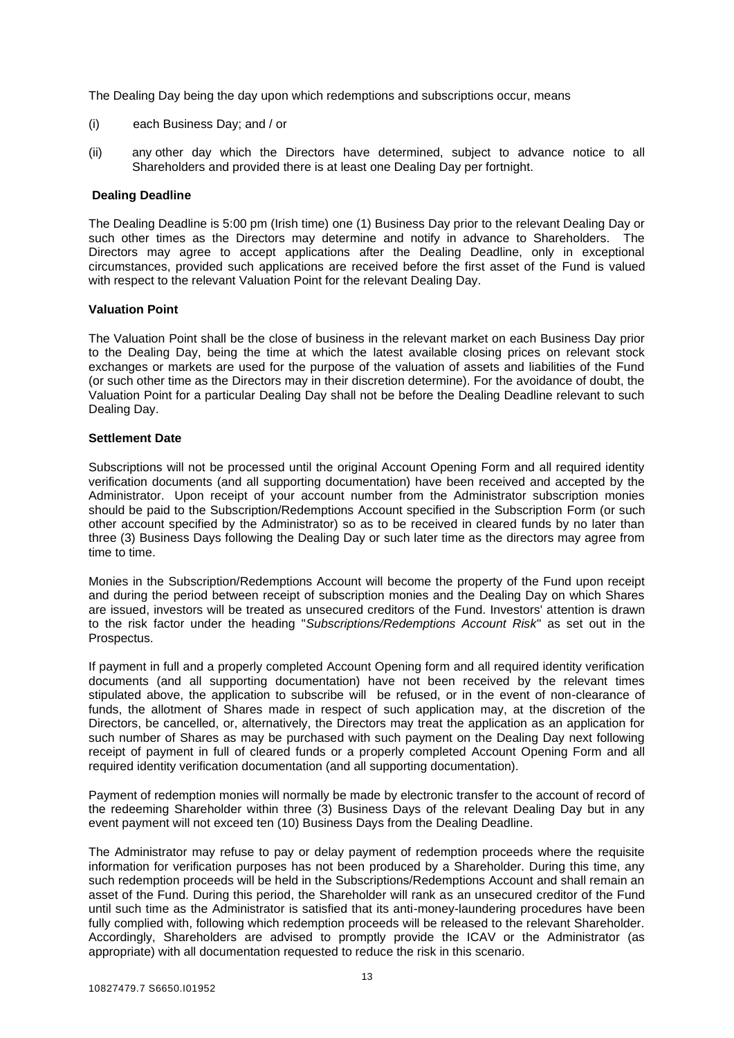The Dealing Day being the day upon which redemptions and subscriptions occur, means

- (i) each Business Day; and / or
- (ii) any other day which the Directors have determined, subject to advance notice to all Shareholders and provided there is at least one Dealing Day per fortnight.

#### **Dealing Deadline**

The Dealing Deadline is 5:00 pm (Irish time) one (1) Business Day prior to the relevant Dealing Day or such other times as the Directors may determine and notify in advance to Shareholders. The Directors may agree to accept applications after the Dealing Deadline, only in exceptional circumstances, provided such applications are received before the first asset of the Fund is valued with respect to the relevant Valuation Point for the relevant Dealing Day.

#### **Valuation Point**

The Valuation Point shall be the close of business in the relevant market on each Business Day prior to the Dealing Day, being the time at which the latest available closing prices on relevant stock exchanges or markets are used for the purpose of the valuation of assets and liabilities of the Fund (or such other time as the Directors may in their discretion determine). For the avoidance of doubt, the Valuation Point for a particular Dealing Day shall not be before the Dealing Deadline relevant to such Dealing Day.

#### **Settlement Date**

Subscriptions will not be processed until the original Account Opening Form and all required identity verification documents (and all supporting documentation) have been received and accepted by the Administrator. Upon receipt of your account number from the Administrator subscription monies should be paid to the Subscription/Redemptions Account specified in the Subscription Form (or such other account specified by the Administrator) so as to be received in cleared funds by no later than three (3) Business Days following the Dealing Day or such later time as the directors may agree from time to time.

Monies in the Subscription/Redemptions Account will become the property of the Fund upon receipt and during the period between receipt of subscription monies and the Dealing Day on which Shares are issued, investors will be treated as unsecured creditors of the Fund. Investors' attention is drawn to the risk factor under the heading "*Subscriptions/Redemptions Account Risk*" as set out in the Prospectus.

If payment in full and a properly completed Account Opening form and all required identity verification documents (and all supporting documentation) have not been received by the relevant times stipulated above, the application to subscribe will be refused, or in the event of non-clearance of funds, the allotment of Shares made in respect of such application may, at the discretion of the Directors, be cancelled, or, alternatively, the Directors may treat the application as an application for such number of Shares as may be purchased with such payment on the Dealing Day next following receipt of payment in full of cleared funds or a properly completed Account Opening Form and all required identity verification documentation (and all supporting documentation).

Payment of redemption monies will normally be made by electronic transfer to the account of record of the redeeming Shareholder within three (3) Business Days of the relevant Dealing Day but in any event payment will not exceed ten (10) Business Days from the Dealing Deadline.

The Administrator may refuse to pay or delay payment of redemption proceeds where the requisite information for verification purposes has not been produced by a Shareholder. During this time, any such redemption proceeds will be held in the Subscriptions/Redemptions Account and shall remain an asset of the Fund. During this period, the Shareholder will rank as an unsecured creditor of the Fund until such time as the Administrator is satisfied that its anti-money-laundering procedures have been fully complied with, following which redemption proceeds will be released to the relevant Shareholder. Accordingly, Shareholders are advised to promptly provide the ICAV or the Administrator (as appropriate) with all documentation requested to reduce the risk in this scenario.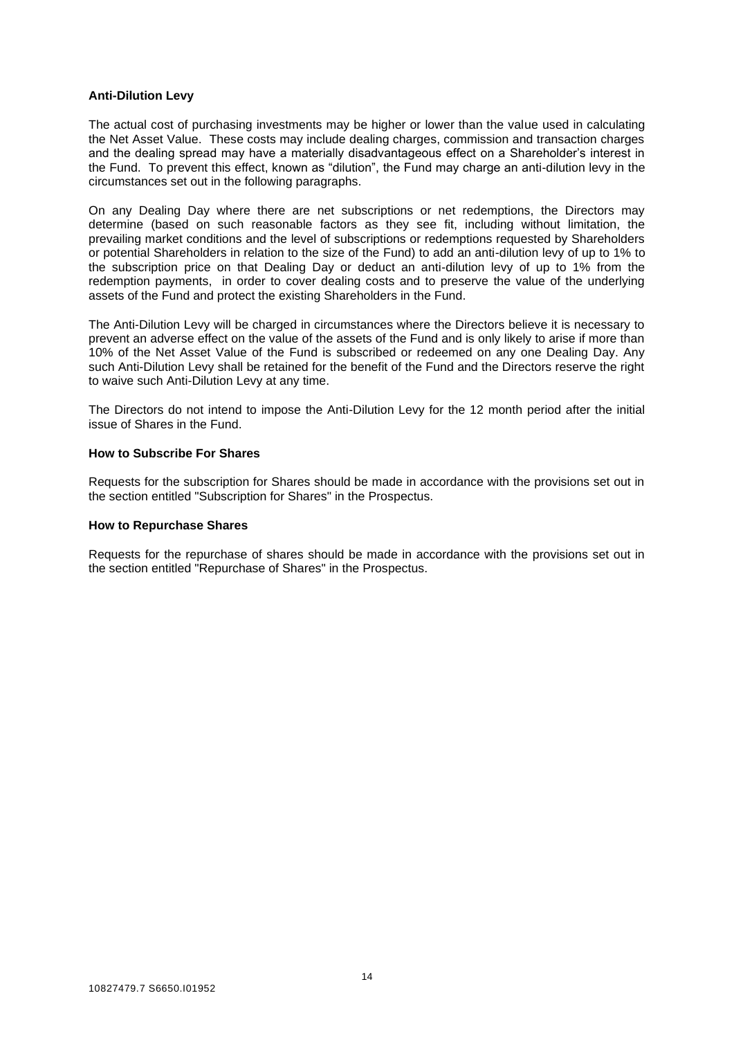#### **Anti-Dilution Levy**

The actual cost of purchasing investments may be higher or lower than the value used in calculating the Net Asset Value. These costs may include dealing charges, commission and transaction charges and the dealing spread may have a materially disadvantageous effect on a Shareholder's interest in the Fund. To prevent this effect, known as "dilution", the Fund may charge an anti-dilution levy in the circumstances set out in the following paragraphs.

On any Dealing Day where there are net subscriptions or net redemptions, the Directors may determine (based on such reasonable factors as they see fit, including without limitation, the prevailing market conditions and the level of subscriptions or redemptions requested by Shareholders or potential Shareholders in relation to the size of the Fund) to add an anti-dilution levy of up to 1% to the subscription price on that Dealing Day or deduct an anti-dilution levy of up to 1% from the redemption payments, in order to cover dealing costs and to preserve the value of the underlying assets of the Fund and protect the existing Shareholders in the Fund.

The Anti-Dilution Levy will be charged in circumstances where the Directors believe it is necessary to prevent an adverse effect on the value of the assets of the Fund and is only likely to arise if more than 10% of the Net Asset Value of the Fund is subscribed or redeemed on any one Dealing Day. Any such Anti-Dilution Levy shall be retained for the benefit of the Fund and the Directors reserve the right to waive such Anti-Dilution Levy at any time.

The Directors do not intend to impose the Anti-Dilution Levy for the 12 month period after the initial issue of Shares in the Fund.

#### **How to Subscribe For Shares**

Requests for the subscription for Shares should be made in accordance with the provisions set out in the section entitled "Subscription for Shares" in the Prospectus.

#### **How to Repurchase Shares**

Requests for the repurchase of shares should be made in accordance with the provisions set out in the section entitled "Repurchase of Shares" in the Prospectus.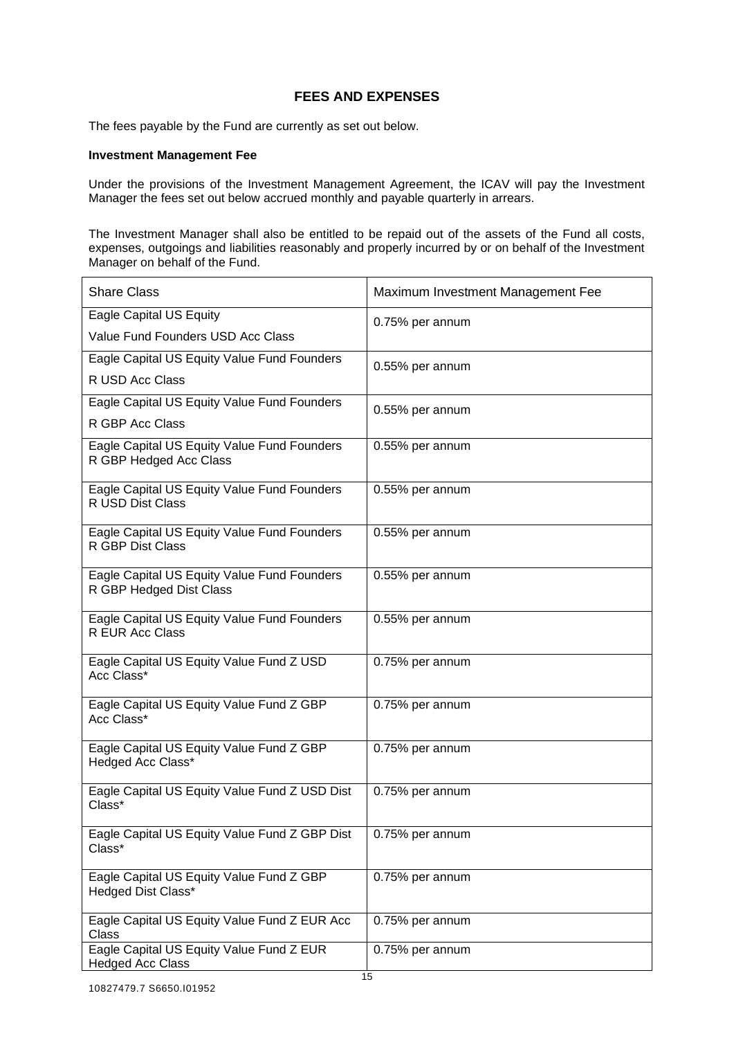## **FEES AND EXPENSES**

The fees payable by the Fund are currently as set out below.

#### **Investment Management Fee**

Under the provisions of the Investment Management Agreement, the ICAV will pay the Investment Manager the fees set out below accrued monthly and payable quarterly in arrears.

The Investment Manager shall also be entitled to be repaid out of the assets of the Fund all costs, expenses, outgoings and liabilities reasonably and properly incurred by or on behalf of the Investment Manager on behalf of the Fund.

| <b>Share Class</b>                                                     | Maximum Investment Management Fee |
|------------------------------------------------------------------------|-----------------------------------|
| <b>Eagle Capital US Equity</b>                                         | 0.75% per annum                   |
| Value Fund Founders USD Acc Class                                      |                                   |
| Eagle Capital US Equity Value Fund Founders                            | 0.55% per annum                   |
| R USD Acc Class                                                        |                                   |
| Eagle Capital US Equity Value Fund Founders                            | 0.55% per annum                   |
| R GBP Acc Class                                                        |                                   |
| Eagle Capital US Equity Value Fund Founders<br>R GBP Hedged Acc Class  | 0.55% per annum                   |
| Eagle Capital US Equity Value Fund Founders<br>R USD Dist Class        | 0.55% per annum                   |
| Eagle Capital US Equity Value Fund Founders<br>R GBP Dist Class        | 0.55% per annum                   |
| Eagle Capital US Equity Value Fund Founders<br>R GBP Hedged Dist Class | 0.55% per annum                   |
| Eagle Capital US Equity Value Fund Founders<br>R EUR Acc Class         | 0.55% per annum                   |
| Eagle Capital US Equity Value Fund Z USD<br>Acc Class*                 | 0.75% per annum                   |
| Eagle Capital US Equity Value Fund Z GBP<br>Acc Class*                 | 0.75% per annum                   |
| Eagle Capital US Equity Value Fund Z GBP<br>Hedged Acc Class*          | 0.75% per annum                   |
| Eagle Capital US Equity Value Fund Z USD Dist<br>Class*                | 0.75% per annum                   |
| Eagle Capital US Equity Value Fund Z GBP Dist<br>Class*                | 0.75% per annum                   |
| Eagle Capital US Equity Value Fund Z GBP<br>Hedged Dist Class*         | $0.75%$ per annum                 |
| Eagle Capital US Equity Value Fund Z EUR Acc<br><b>Class</b>           | 0.75% per annum                   |
| Eagle Capital US Equity Value Fund Z EUR<br><b>Hedged Acc Class</b>    | 0.75% per annum                   |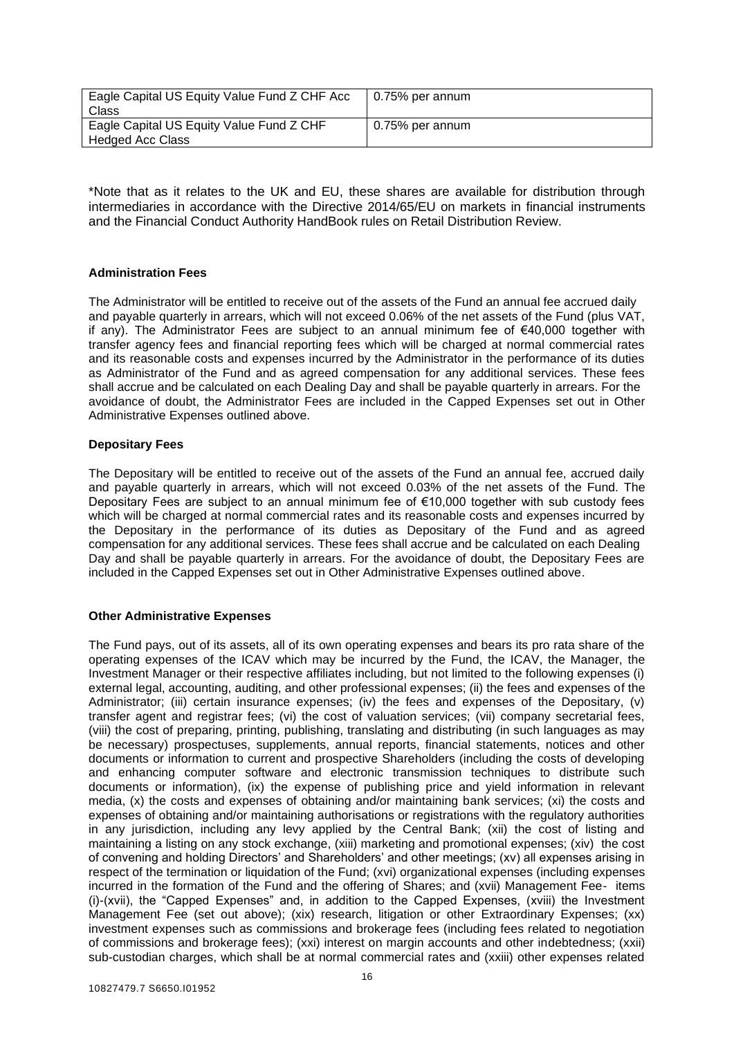| Eagle Capital US Equity Value Fund Z CHF Acc<br>Class               | $\vert$ 0.75% per annum |
|---------------------------------------------------------------------|-------------------------|
| Eagle Capital US Equity Value Fund Z CHF<br><b>Hedged Acc Class</b> | 0.75% per annum         |

\*Note that as it relates to the UK and EU, these shares are available for distribution through intermediaries in accordance with the Directive 2014/65/EU on markets in financial instruments and the Financial Conduct Authority HandBook rules on Retail Distribution Review.

#### **Administration Fees**

The Administrator will be entitled to receive out of the assets of the Fund an annual fee accrued daily and payable quarterly in arrears, which will not exceed 0.06% of the net assets of the Fund (plus VAT, if any). The Administrator Fees are subject to an annual minimum fee of €40,000 together with transfer agency fees and financial reporting fees which will be charged at normal commercial rates and its reasonable costs and expenses incurred by the Administrator in the performance of its duties as Administrator of the Fund and as agreed compensation for any additional services. These fees shall accrue and be calculated on each Dealing Day and shall be payable quarterly in arrears. For the avoidance of doubt, the Administrator Fees are included in the Capped Expenses set out in Other Administrative Expenses outlined above.

#### **Depositary Fees**

The Depositary will be entitled to receive out of the assets of the Fund an annual fee, accrued daily and payable quarterly in arrears, which will not exceed 0.03% of the net assets of the Fund. The Depositary Fees are subject to an annual minimum fee of €10,000 together with sub custody fees which will be charged at normal commercial rates and its reasonable costs and expenses incurred by the Depositary in the performance of its duties as Depositary of the Fund and as agreed compensation for any additional services. These fees shall accrue and be calculated on each Dealing Day and shall be payable quarterly in arrears. For the avoidance of doubt, the Depositary Fees are included in the Capped Expenses set out in Other Administrative Expenses outlined above.

## **Other Administrative Expenses**

The Fund pays, out of its assets, all of its own operating expenses and bears its pro rata share of the operating expenses of the ICAV which may be incurred by the Fund, the ICAV, the Manager, the Investment Manager or their respective affiliates including, but not limited to the following expenses (i) external legal, accounting, auditing, and other professional expenses; (ii) the fees and expenses of the Administrator; (iii) certain insurance expenses; (iv) the fees and expenses of the Depositary, (v) transfer agent and registrar fees; (vi) the cost of valuation services; (vii) company secretarial fees, (viii) the cost of preparing, printing, publishing, translating and distributing (in such languages as may be necessary) prospectuses, supplements, annual reports, financial statements, notices and other documents or information to current and prospective Shareholders (including the costs of developing and enhancing computer software and electronic transmission techniques to distribute such documents or information), (ix) the expense of publishing price and yield information in relevant media, (x) the costs and expenses of obtaining and/or maintaining bank services; (xi) the costs and expenses of obtaining and/or maintaining authorisations or registrations with the regulatory authorities in any jurisdiction, including any levy applied by the Central Bank; (xii) the cost of listing and maintaining a listing on any stock exchange, (xiii) marketing and promotional expenses; (xiv) the cost of convening and holding Directors' and Shareholders' and other meetings; (xv) all expenses arising in respect of the termination or liquidation of the Fund; (xvi) organizational expenses (including expenses incurred in the formation of the Fund and the offering of Shares; and (xvii) Management Fee- items (i)-(xvii), the "Capped Expenses" and, in addition to the Capped Expenses, (xviii) the Investment Management Fee (set out above); (xix) research, litigation or other Extraordinary Expenses; (xx) investment expenses such as commissions and brokerage fees (including fees related to negotiation of commissions and brokerage fees); (xxi) interest on margin accounts and other indebtedness; (xxii) sub-custodian charges, which shall be at normal commercial rates and (xxiii) other expenses related